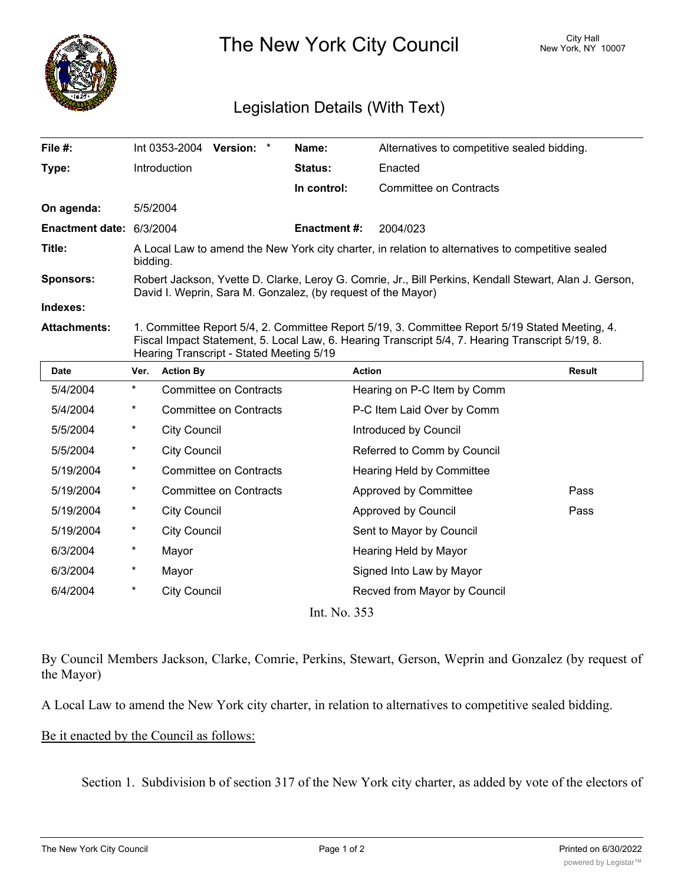

The New York City Council New York, NY 10007

## Legislation Details (With Text)

| File $#$ :               |                                                                                                                                                                                                                                                |                               | Int 0353-2004 Version: *      |  | Name:               | Alternatives to competitive sealed bidding. |               |  |
|--------------------------|------------------------------------------------------------------------------------------------------------------------------------------------------------------------------------------------------------------------------------------------|-------------------------------|-------------------------------|--|---------------------|---------------------------------------------|---------------|--|
| Type:                    |                                                                                                                                                                                                                                                | Introduction                  |                               |  | Status:             | Enacted                                     |               |  |
|                          |                                                                                                                                                                                                                                                |                               |                               |  | In control:         | <b>Committee on Contracts</b>               |               |  |
| On agenda:               | 5/5/2004                                                                                                                                                                                                                                       |                               |                               |  |                     |                                             |               |  |
| Enactment date: 6/3/2004 |                                                                                                                                                                                                                                                |                               |                               |  | <b>Enactment #:</b> | 2004/023                                    |               |  |
| Title:                   | A Local Law to amend the New York city charter, in relation to alternatives to competitive sealed<br>bidding.                                                                                                                                  |                               |                               |  |                     |                                             |               |  |
| <b>Sponsors:</b>         | Robert Jackson, Yvette D. Clarke, Leroy G. Comrie, Jr., Bill Perkins, Kendall Stewart, Alan J. Gerson,<br>David I. Weprin, Sara M. Gonzalez, (by request of the Mayor)                                                                         |                               |                               |  |                     |                                             |               |  |
| Indexes:                 |                                                                                                                                                                                                                                                |                               |                               |  |                     |                                             |               |  |
| <b>Attachments:</b>      | 1. Committee Report 5/4, 2. Committee Report 5/19, 3. Committee Report 5/19 Stated Meeting, 4.<br>Fiscal Impact Statement, 5. Local Law, 6. Hearing Transcript 5/4, 7. Hearing Transcript 5/19, 8.<br>Hearing Transcript - Stated Meeting 5/19 |                               |                               |  |                     |                                             |               |  |
| <b>Date</b>              | Ver.                                                                                                                                                                                                                                           | <b>Action By</b>              |                               |  |                     | <b>Action</b>                               | <b>Result</b> |  |
| 5/4/2004                 | $\star$                                                                                                                                                                                                                                        | <b>Committee on Contracts</b> |                               |  |                     | Hearing on P-C Item by Comm                 |               |  |
| 5/4/2004                 | $^\star$                                                                                                                                                                                                                                       | <b>Committee on Contracts</b> |                               |  |                     | P-C Item Laid Over by Comm                  |               |  |
| 5/5/2004                 | $^\star$                                                                                                                                                                                                                                       | <b>City Council</b>           |                               |  |                     | Introduced by Council                       |               |  |
| 5/5/2004                 | $^{\ast}$                                                                                                                                                                                                                                      | <b>City Council</b>           |                               |  |                     | Referred to Comm by Council                 |               |  |
| 5/19/2004                | $^\star$                                                                                                                                                                                                                                       |                               | <b>Committee on Contracts</b> |  |                     | Hearing Held by Committee                   |               |  |
| 5/19/2004                | $^\star$                                                                                                                                                                                                                                       |                               | <b>Committee on Contracts</b> |  |                     | Approved by Committee                       | Pass          |  |
| 5/19/2004                | $^\star$                                                                                                                                                                                                                                       | <b>City Council</b>           |                               |  |                     | Approved by Council                         | Pass          |  |
| 5/19/2004                | $^{\ast}$                                                                                                                                                                                                                                      | <b>City Council</b>           |                               |  |                     | Sent to Mayor by Council                    |               |  |
| 6/3/2004                 | $^\star$                                                                                                                                                                                                                                       | Mayor                         |                               |  |                     | Hearing Held by Mayor                       |               |  |
| 6/3/2004                 | $^\star$                                                                                                                                                                                                                                       | Mayor                         |                               |  |                     | Signed Into Law by Mayor                    |               |  |
| 6/4/2004                 | $^\star$                                                                                                                                                                                                                                       | <b>City Council</b>           |                               |  |                     | Recved from Mayor by Council                |               |  |
|                          |                                                                                                                                                                                                                                                |                               |                               |  |                     |                                             |               |  |

Int. No. 353

By Council Members Jackson, Clarke, Comrie, Perkins, Stewart, Gerson, Weprin and Gonzalez (by request of the Mayor)

A Local Law to amend the New York city charter, in relation to alternatives to competitive sealed bidding.

Be it enacted by the Council as follows:

Section 1. Subdivision b of section 317 of the New York city charter, as added by vote of the electors of